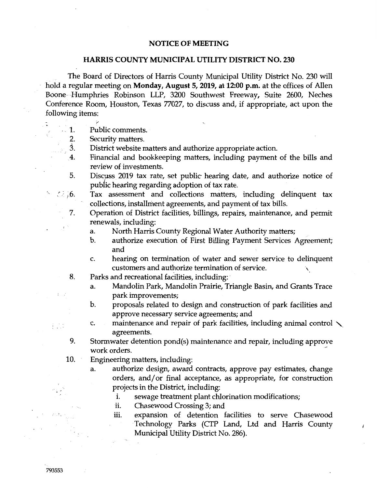## **NOTICE OF MEETING**

## **HARRIS COUNTY MUNICIPAL UTILITY DISTRICT NO. 230**

The Board of Directors of Harris County Municipal Utility District No. 230 will hold a regular meeting on **Monday, August 5, 2019, at 12:00 p.m.** at the offices of Allen Boone-Humphries Robinson LLP, 3200 Southwest Freeway, Suite 2600, Neches Conference Room, Houston, Texas 77027, to discuss and, if appropriate, act upon the following items:

- $\mathbf 1$ . Public comments.
	- 2. Security matters.
	- 3. District website matters and authorize appropriate action.
	- .4. Financial and bookkeeping matters, including payment of the bills and review of investments.
	- 5. Discuss 2019 tax rate, set public hearing date, and authorize notice of public hearing regarding adoption of tax rate.
- Tax assessment and collections matters, including delinquent tax  $\mathcal{L}$  , 6. collections, installment agreements, and payment of tax bills.
	- 7. Operation of District facilities, billings, repairs, maintenance, and permit renewals, including:
		- a. North Harris County Regional Water Authority matters;
		- b. authorize execution of First Billing Payment Services Agreement; and
		- c. hearing on termination of water and sewer service to delinquent customers and authorize termination of service. \
	- 8. Parks and recreational facilities, including:
		- a. Mandolin Park, Mandolin Prairie, Triangle Basin, and Grants Trace park improvements;
		- b. proposals related to design and construction of park facilities and approve necessary service agreements; and
		- c. maintenance and repair of park facilities, including animal control  $\diagdown$ agreements.
	- 9. Stormwater detention pond(s) maintenance and repair, including approve work orders.
	- 10. Engineering matters, including:
		- a. authorize design, award contracts, approve pay estimates, change orders, and/or final acceptance, as appropriate, for construction projects in the District, including:
			- i. sewage treatment plant chlorination modifications;
			- ii. Chasewood Crossing 3; and
			- iii. expansion of detention facilities to serve Chasewood Technology Parks (CTP Land, Ltd and Harris County Municipal Utility District No. 286).

 $\overline{t}$ 

 $t = 1$ 

 $\frac{1}{2}$  ,  $\frac{1}{2}$  ,  $\frac{1}{2}$